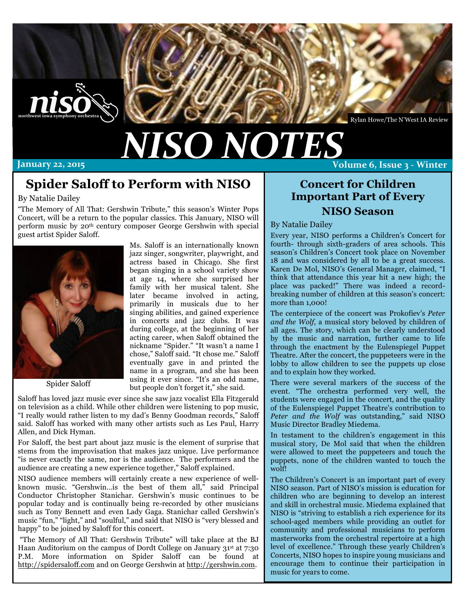

Rylan Howe/The N'West IA Review

# *NISO%NOTES*

January 22, 2015

## **Volume 6, Issue 3 - Winter**

# **Spider Saloff to Perform with NISO**

By Natalie Dailey

"The Memory of All That: Gershwin Tribute," this season's Winter Pops Concert, will be a return to the popular classics. This January, NISO will perform music by 20th century composer George Gershwin with special guest artist Spider Saloff.



Spider Saloff

Ms. Saloff is an internationally known jazz singer, songwriter, playwright, and actress based in Chicago. She first began singing in a school variety show at age 14, where she surprised her family with her musical talent. She later became involved in acting, primarily in musicals due to her singing abilities, and gained experience in concerts and jazz clubs. It was during college, at the beginning of her acting career, when Saloff obtained the nickname "Spider." "It wasn't a name I chose," Saloff said. "It chose me." Saloff eventually gave in and printed the name in a program, and she has been using it ever since. "It's an odd name, but people don't forget it," she said.

Saloff has loved jazz music ever since she saw jazz vocalist Ella Fitzgerald on television as a child. While other children were listening to pop music, "I really would rather listen to my dad's Benny Goodman records," Saloff said. Saloff has worked with many other artists such as Les Paul, Harry Allen, and Dick Hyman.

For Saloff, the best part about jazz music is the element of surprise that stems from the improvisation that makes jazz unique. Live performance "is never exactly the same, nor is the audience. The performers and the audience are creating a new experience together," Saloff explained.

NISO audience members will certainly create a new experience of wellknown music. "Gershwin...is the best of them all," said Principal Conductor Christopher Stanichar. Gershwin's music continues to be popular today and is continually being re-recorded by other musicians such as Tony Bennett and even Lady Gaga. Stanichar called Gershwin's music "fun," "light," and "soulful," and said that NISO is "very blessed and happy" to be joined by Saloff for this concert.

"The Memory of All That: Gershwin Tribute" will take place at the BJ Haan Auditorium on the campus of Dordt College on January 31st at 7:30 P.M. More information on Spider Saloff can be found at http://spidersaloff.com and on George Gershwin at http://gershwin.com.

# **Concert for Children Important Part of Every NISO Season**

#### By Natalie Dailey

Every year, NISO performs a Children's Concert for fourth- through sixth-graders of area schools. This season's Children's Concert took place on November 18 and was considered by all to be a great success. Karen De Mol, NISO's General Manager, claimed, "I think that attendance this year hit a new high; the place was packed!" There was indeed a recordbreaking number of children at this season's concert: more than 1,000!

The centerpiece of the concert was Prokofiev's *Peter and the Wolf*, a musical story beloved by children of all ages. The story, which can be clearly understood by the music and narration, further came to life through the enactment by the Eulenspiegel Puppet Theatre. After the concert, the puppeteers were in the lobby to allow children to see the puppets up close and to explain how they worked.

There were several markers of the success of the event. "The orchestra performed very well, the students were engaged in the concert, and the quality of the Eulenspiegel Puppet Theatre's contribution to *Peter and the Wolf* was outstanding," said NISO Music Director Bradley Miedema.

In testament to the children's engagement in this musical story, De Mol said that when the children were allowed to meet the puppeteers and touch the puppets, none of the children wanted to touch the wolf!

The Children's Concert is an important part of every NISO season. Part of NISO's mission is education for children who are beginning to develop an interest and skill in orchestral music. Miedema explained that NISO is "striving to establish a rich experience for its school-aged members while providing an outlet for community and professional musicians to perform masterworks from the orchestral repertoire at a high level of excellence." Through these yearly Children's Concerts, NISO hopes to inspire young musicians and encourage them to continue their participation in music for years to come.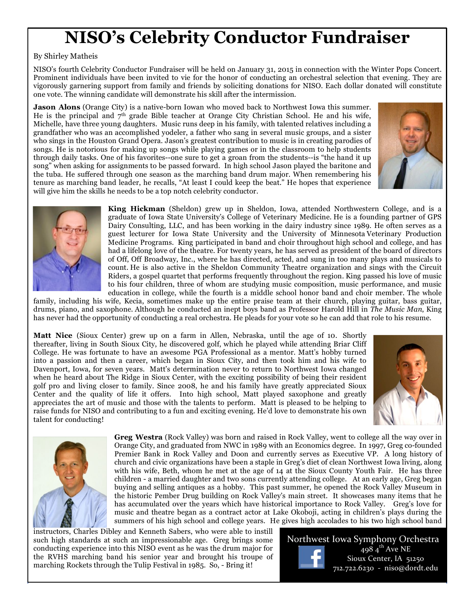# **NISO's Celebrity Conductor Fundraiser**

#### By Shirley Matheis

NISO's fourth Celebrity Conductor Fundraiser will be held on January 31, 2015 in connection with the Winter Pops Concert. Prominent individuals have been invited to vie for the honor of conducting an orchestral selection that evening. They are vigorously garnering support from family and friends by soliciting donations for NISO. Each dollar donated will constitute one vote. The winning candidate will demonstrate his skill after the intermission.

**Jason Alons** (Orange City) is a native-born Iowan who moved back to Northwest Iowa this summer. He is the principal and  $7<sup>th</sup>$  grade Bible teacher at Orange City Christian School. He and his wife, Michelle, have three young daughters. Music runs deep in his family, with talented relatives including a grandfather who was an accomplished yodeler, a father who sang in several music groups, and a sister who sings in the Houston Grand Opera. Jason's greatest contribution to music is in creating parodies of songs. He is notorious for making up songs while playing games or in the classroom to help students through daily tasks. One of his favorites--one sure to get a groan from the students--is "the hand it up song" when asking for assignments to be passed forward. In high school Jason played the baritone and the tuba. He suffered through one season as the marching band drum major. When remembering his tenure as marching band leader, he recalls, "At least I could keep the beat." He hopes that experience will give him the skills he needs to be a top notch celebrity conductor.





**King Hickman** (Sheldon) grew up in Sheldon, Iowa, attended Northwestern College, and is a graduate of Iowa State University's College of Veterinary Medicine. He is a founding partner of GPS Dairy Consulting, LLC, and has been working in the dairy industry since 1989. He often serves as a guest lecturer for Iowa State University and the University of Minnesota Veterinary Production Medicine Programs. King participated in band and choir throughout high school and college, and has had a lifelong love of the theatre. For twenty years, he has served as president of the board of directors of Off, Off Broadway, Inc., where he has directed, acted, and sung in too many plays and musicals to count. He is also active in the Sheldon Community Theatre organization and sings with the Circuit Riders, a gospel quartet that performs frequently throughout the region. King passed his love of music to his four children, three of whom are studying music composition, music performance, and music education in college, while the fourth is a middle school honor band and choir member. The whole

family, including his wife, Kecia, sometimes make up the entire praise team at their church, playing guitar, bass guitar, drums, piano, and saxophone. Although he conducted an inept boys band as Professor Harold Hill in *The Music Man*, King has never had the opportunity of conducting a real orchestra. He pleads for your vote so he can add that role to his resume.

**Matt Nice** (Sioux Center) grew up on a farm in Allen, Nebraska, until the age of 10. Shortly thereafter, living in South Sioux City, he discovered golf, which he played while attending Briar Cliff College. He was fortunate to have an awesome PGA Professional as a mentor. Matt's hobby turned into a passion and then a career, which began in Sioux City, and then took him and his wife to Davenport, Iowa, for seven years. Matt's determination never to return to Northwest Iowa changed when he heard about The Ridge in Sioux Center, with the exciting possibility of being their resident golf pro and living closer to family. Since 2008, he and his family have greatly appreciated Sioux Center and the quality of life it offers. Into high school, Matt played saxophone and greatly appreciates the art of music and those with the talents to perform. Matt is pleased to be helping to raise funds for NISO and contributing to a fun and exciting evening. He'd love to demonstrate his own talent for conducting!





**Greg Westra** (Rock Valley) was born and raised in Rock Valley, went to college all the way over in Orange City, and graduated from NWC in 1989 with an Economics degree. In 1997, Greg co-founded Premier Bank in Rock Valley and Doon and currently serves as Executive VP. A long history of church and civic organizations have been a staple in Greg's diet of clean Northwest Iowa living, along with his wife, Beth, whom he met at the age of 14 at the Sioux County Youth Fair. He has three children - a married daughter and two sons currently attending college. At an early age, Greg began buying and selling antiques as a hobby. This past summer, he opened the Rock Valley Museum in the historic Pember Drug building on Rock Valley's main street. It showcases many items that he has accumulated over the years which have historical importance to Rock Valley. Greg's love for music and theatre began as a contract actor at Lake Okoboji, acting in children's plays during the summers of his high school and college years. He gives high accolades to his two high school band

instructors, Charles Dibley and Kenneth Sabers, who were able to instill such high standards at such an impressionable age. Greg brings some conducting experience into this NISO event as he was the drum major for the RVHS marching band his senior year and brought his troupe of marching Rockets through the Tulip Festival in 1985. So, - Bring it!

### Northwest Iowa Symphony Orchestra 498 $4^{th}$  Ave NE Sioux Center, IA 51250

712.722.6230 - niso@dordt.edu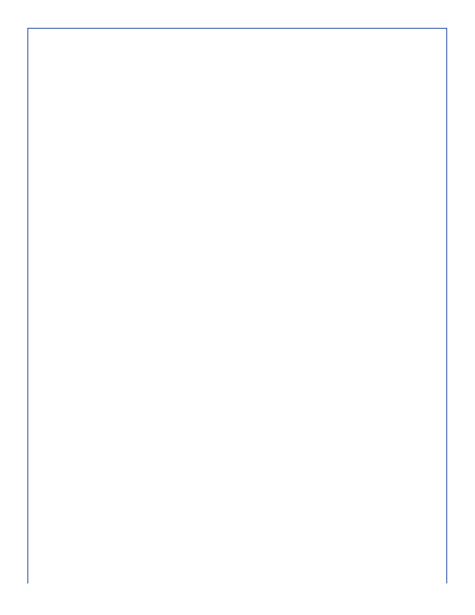